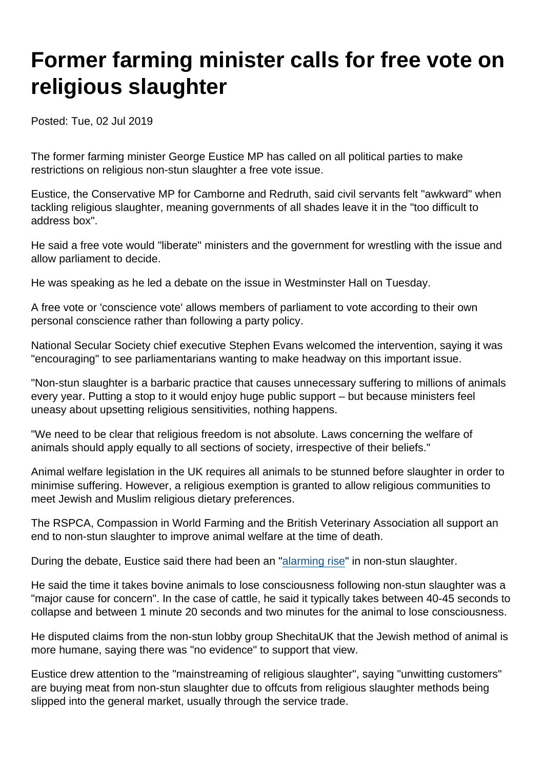## Former farming minister calls for free vote on religious slaughter

Posted: Tue, 02 Jul 2019

The former farming minister George Eustice MP has called on all political parties to make restrictions on religious non-stun slaughter a free vote issue.

Eustice, the Conservative MP for Camborne and Redruth, said civil servants felt "awkward" when tackling religious slaughter, meaning governments of all shades leave it in the "too difficult to address box".

He said a free vote would "liberate" ministers and the government for wrestling with the issue and allow parliament to decide.

He was speaking as he led a debate on the issue in Westminster Hall on Tuesday.

A free vote or 'conscience vote' allows members of parliament to vote according to their own personal conscience rather than following a party policy.

National Secular Society chief executive Stephen Evans welcomed the intervention, saying it was "encouraging" to see parliamentarians wanting to make headway on this important issue.

"Non-stun slaughter is a barbaric practice that causes unnecessary suffering to millions of animals every year. Putting a stop to it would enjoy huge public support – but because ministers feel uneasy about upsetting religious sensitivities, nothing happens.

"We need to be clear that religious freedom is not absolute. Laws concerning the welfare of animals should apply equally to all sections of society, irrespective of their beliefs."

Animal welfare legislation in the UK requires all animals to be stunned before slaughter in order to minimise suffering. However, a religious exemption is granted to allow religious communities to meet Jewish and Muslim religious dietary preferences.

The RSPCA, Compassion in World Farming and the British Veterinary Association all support an end to non-stun slaughter to improve animal welfare at the time of death.

During the debate, Eustice said there had been an ["alarming rise"](https://www.secularism.org.uk/news/2017/10/nss-seeks-end-to-religious-exemption-amid-sharp-rise-in-non-stun-slaughter) in non-stun slaughter.

He said the time it takes bovine animals to lose consciousness following non-stun slaughter was a "major cause for concern". In the case of cattle, he said it typically takes between 40-45 seconds to collapse and between 1 minute 20 seconds and two minutes for the animal to lose consciousness.

He disputed claims from the non-stun lobby group ShechitaUK that the Jewish method of animal is more humane, saying there was "no evidence" to support that view.

Eustice drew attention to the "mainstreaming of religious slaughter", saying "unwitting customers" are buying meat from non-stun slaughter due to offcuts from religious slaughter methods being slipped into the general market, usually through the service trade.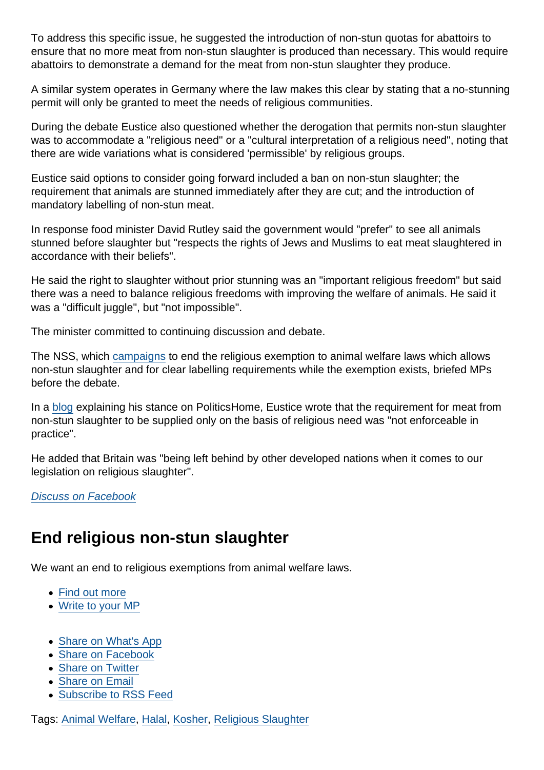To address this specific issue, he suggested the introduction of non-stun quotas for abattoirs to ensure that no more meat from non-stun slaughter is produced than necessary. This would require abattoirs to demonstrate a demand for the meat from non-stun slaughter they produce.

A similar system operates in Germany where the law makes this clear by stating that a no-stunning permit will only be granted to meet the needs of religious communities.

During the debate Eustice also questioned whether the derogation that permits non-stun slaughter was to accommodate a "religious need" or a "cultural interpretation of a religious need", noting that there are wide variations what is considered 'permissible' by religious groups.

Eustice said options to consider going forward included a ban on non-stun slaughter; the requirement that animals are stunned immediately after they are cut; and the introduction of mandatory labelling of non-stun meat.

In response food minister David Rutley said the government would "prefer" to see all animals stunned before slaughter but "respects the rights of Jews and Muslims to eat meat slaughtered in accordance with their beliefs".

He said the right to slaughter without prior stunning was an "important religious freedom" but said there was a need to balance religious freedoms with improving the welfare of animals. He said it was a "difficult juggle", but "not impossible".

The minister committed to continuing discussion and debate.

The NSS, which [campaigns](https://www.secularism.org.uk/religious-slaughter/) to end the religious exemption to animal welfare laws which allows non-stun slaughter and for clear labelling requirements while the exemption exists, briefed MPs before the debate.

In a [blog](https://www.politicshome.com/news/uk/environment/opinion/house-commons/105006/george-eustice-mp-uk-being-left-behind-other) explaining his stance on PoliticsHome, Eustice wrote that the requirement for meat from non-stun slaughter to be supplied only on the basis of religious need was "not enforceable in practice".

He added that Britain was "being left behind by other developed nations when it comes to our legislation on religious slaughter".

[Discuss on Facebook](https://www.facebook.com/NationalSecularSociety/posts/2330060573728947?__xts__[0]=68.ARArXF8EUEG7xLvkE-yG9p-Mcmcfy-NDaU6PQIy_P7Tbd0yf0xwnOyqzBY5bZoCgxJ_oybOhP6tAkBLFgPdmBBTzFlFM-O-iCqvi-5VqENDzETT1BN031tbQQEAvOeNj75G0upUzDfq1Pmk0YxBKo7tXSs-wt40oxl2Rg8dfnYVTL1CmLCaxgzDN0G171p4gI1DViVckgybw6z2AAVrAzzX_3mt8o0cQ989DYrkGjlDcyn6w3SRz7FKGUJdTATLKpqvCwC5DC51DsFxLpCg-3BAZ3s4xyrlB-7FnHN7BusQ-fl-jhgw2P1U6UQaX_XYGXeJw6_1KhkVeQ7wYbMDKnoUQBw&__tn__=-R)

## End religious non-stun slaughter

We want an end to religious exemptions from animal welfare laws.

- [Find out more](https://www.secularism.org.uk/religious-slaughter/)
- [Write to your MP](https://www.secularism.org.uk/write-to-your-mp,non-stun-religious-slaughter.html)
- [Share on What's App](whatsapp://send?text=http://www.secularism.org.uk/news/2019/07/former-farming-minister-calls-for-free-vote-on-religious-slaughter?format=pdf)
- [Share on Facebook](https://www.facebook.com/sharer/sharer.php?u=http://www.secularism.org.uk/news/2019/07/former-farming-minister-calls-for-free-vote-on-religious-slaughter?format=pdf&t=Former+farming+minister+calls+for+free+vote+on+religious+slaughter)
- [Share on Twitter](https://twitter.com/intent/tweet?url=http://www.secularism.org.uk/news/2019/07/former-farming-minister-calls-for-free-vote-on-religious-slaughter?format=pdf&text=Former+farming+minister+calls+for+free+vote+on+religious+slaughter&via=NatSecSoc)
- [Share on Email](https://www.secularism.org.uk/share.html?url=http://www.secularism.org.uk/news/2019/07/former-farming-minister-calls-for-free-vote-on-religious-slaughter?format=pdf&title=Former+farming+minister+calls+for+free+vote+on+religious+slaughter)
- [Subscribe to RSS Feed](/mnt/web-data/www/cp-nss/feeds/rss/news)

Tags: [Animal Welfare,](https://www.secularism.org.uk/news/tags/Animal+Welfare) [Halal,](https://www.secularism.org.uk/news/tags/Halal) [Kosher](https://www.secularism.org.uk/news/tags/Kosher), [Religious Slaughter](https://www.secularism.org.uk/news/tags/Religious+Slaughter)